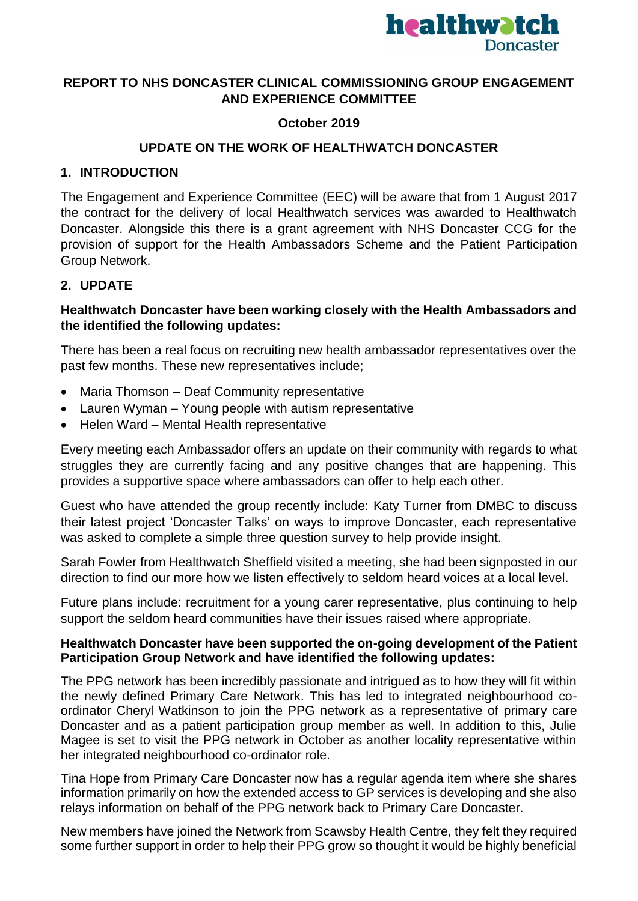

## **REPORT TO NHS DONCASTER CLINICAL COMMISSIONING GROUP ENGAGEMENT AND EXPERIENCE COMMITTEE**

## **October 2019**

### **UPDATE ON THE WORK OF HEALTHWATCH DONCASTER**

### **1. INTRODUCTION**

The Engagement and Experience Committee (EEC) will be aware that from 1 August 2017 the contract for the delivery of local Healthwatch services was awarded to Healthwatch Doncaster. Alongside this there is a grant agreement with NHS Doncaster CCG for the provision of support for the Health Ambassadors Scheme and the Patient Participation Group Network.

#### **2. UPDATE**

### **Healthwatch Doncaster have been working closely with the Health Ambassadors and the identified the following updates:**

There has been a real focus on recruiting new health ambassador representatives over the past few months. These new representatives include;

- Maria Thomson Deaf Community representative
- Lauren Wyman Young people with autism representative
- Helen Ward Mental Health representative

Every meeting each Ambassador offers an update on their community with regards to what struggles they are currently facing and any positive changes that are happening. This provides a supportive space where ambassadors can offer to help each other.

Guest who have attended the group recently include: Katy Turner from DMBC to discuss their latest project 'Doncaster Talks' on ways to improve Doncaster, each representative was asked to complete a simple three question survey to help provide insight.

Sarah Fowler from Healthwatch Sheffield visited a meeting, she had been signposted in our direction to find our more how we listen effectively to seldom heard voices at a local level.

Future plans include: recruitment for a young carer representative, plus continuing to help support the seldom heard communities have their issues raised where appropriate.

#### **Healthwatch Doncaster have been supported the on-going development of the Patient Participation Group Network and have identified the following updates:**

The PPG network has been incredibly passionate and intrigued as to how they will fit within the newly defined Primary Care Network. This has led to integrated neighbourhood coordinator Cheryl Watkinson to join the PPG network as a representative of primary care Doncaster and as a patient participation group member as well. In addition to this, Julie Magee is set to visit the PPG network in October as another locality representative within her integrated neighbourhood co-ordinator role.

Tina Hope from Primary Care Doncaster now has a regular agenda item where she shares information primarily on how the extended access to GP services is developing and she also relays information on behalf of the PPG network back to Primary Care Doncaster.

New members have joined the Network from Scawsby Health Centre, they felt they required some further support in order to help their PPG grow so thought it would be highly beneficial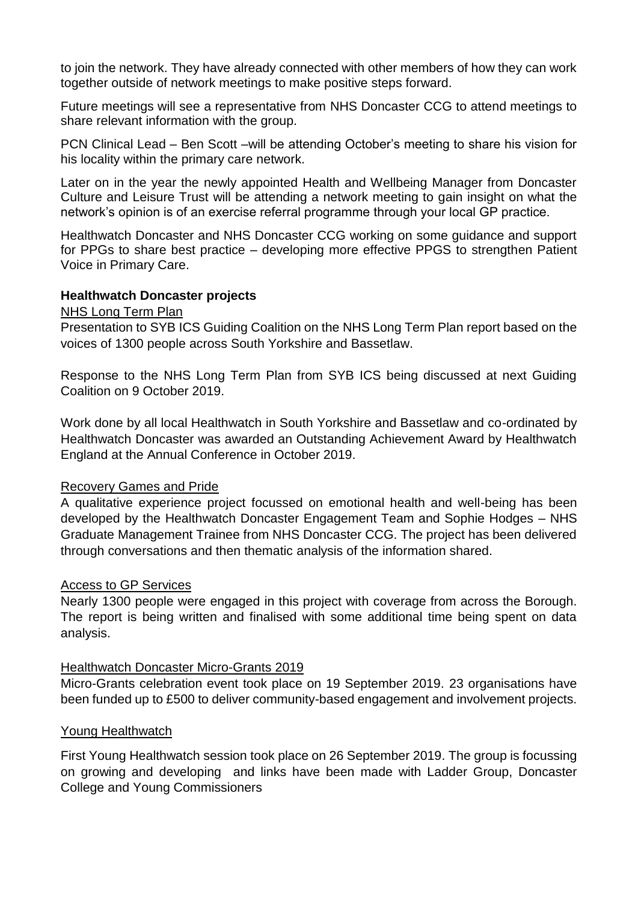to join the network. They have already connected with other members of how they can work together outside of network meetings to make positive steps forward.

Future meetings will see a representative from NHS Doncaster CCG to attend meetings to share relevant information with the group.

PCN Clinical Lead – Ben Scott –will be attending October's meeting to share his vision for his locality within the primary care network.

Later on in the year the newly appointed Health and Wellbeing Manager from Doncaster Culture and Leisure Trust will be attending a network meeting to gain insight on what the network's opinion is of an exercise referral programme through your local GP practice.

Healthwatch Doncaster and NHS Doncaster CCG working on some guidance and support for PPGs to share best practice – developing more effective PPGS to strengthen Patient Voice in Primary Care.

#### **Healthwatch Doncaster projects**

#### NHS Long Term Plan

Presentation to SYB ICS Guiding Coalition on the NHS Long Term Plan report based on the voices of 1300 people across South Yorkshire and Bassetlaw.

Response to the NHS Long Term Plan from SYB ICS being discussed at next Guiding Coalition on 9 October 2019.

Work done by all local Healthwatch in South Yorkshire and Bassetlaw and co-ordinated by Healthwatch Doncaster was awarded an Outstanding Achievement Award by Healthwatch England at the Annual Conference in October 2019.

#### Recovery Games and Pride

A qualitative experience project focussed on emotional health and well-being has been developed by the Healthwatch Doncaster Engagement Team and Sophie Hodges – NHS Graduate Management Trainee from NHS Doncaster CCG. The project has been delivered through conversations and then thematic analysis of the information shared.

#### Access to GP Services

Nearly 1300 people were engaged in this project with coverage from across the Borough. The report is being written and finalised with some additional time being spent on data analysis.

#### Healthwatch Doncaster Micro-Grants 2019

Micro-Grants celebration event took place on 19 September 2019. 23 organisations have been funded up to £500 to deliver community-based engagement and involvement projects.

#### Young Healthwatch

First Young Healthwatch session took place on 26 September 2019. The group is focussing on growing and developing and links have been made with Ladder Group, Doncaster College and Young Commissioners